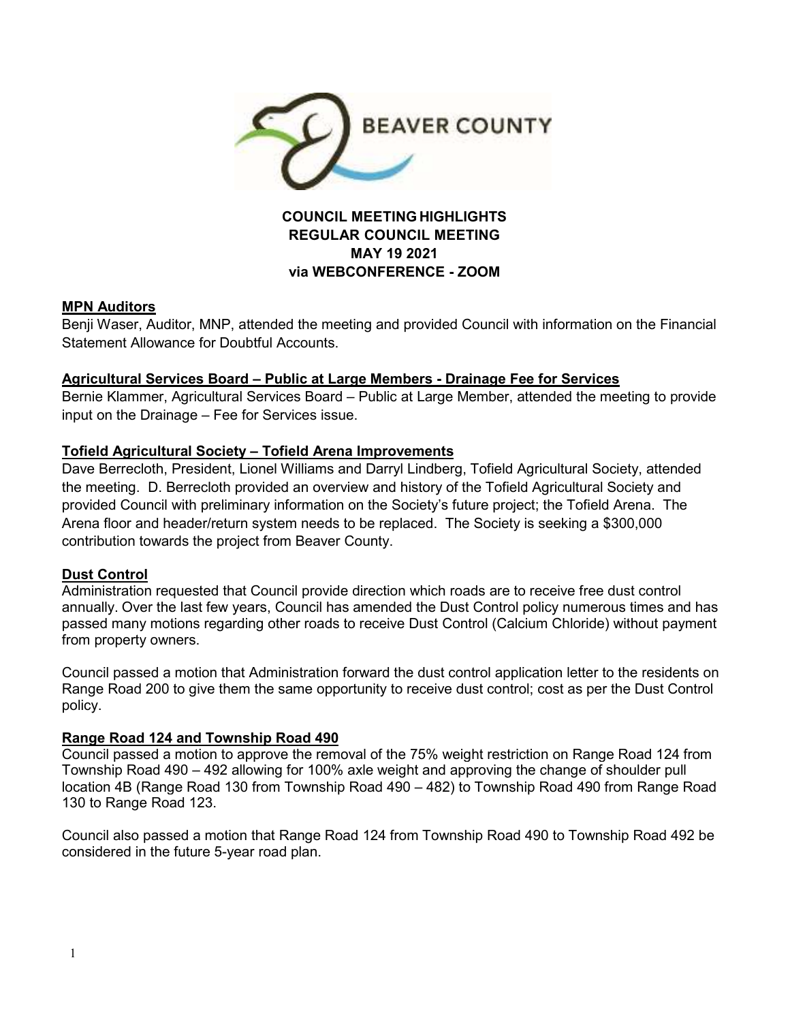

### **COUNCIL MEETING HIGHLIGHTS REGULAR COUNCIL MEETING MAY 19 2021 via WEBCONFERENCE - ZOOM**

#### **MPN Auditors**

Benji Waser, Auditor, MNP, attended the meeting and provided Council with information on the Financial Statement Allowance for Doubtful Accounts.

### **Agricultural Services Board – Public at Large Members - Drainage Fee for Services**

Bernie Klammer, Agricultural Services Board – Public at Large Member, attended the meeting to provide input on the Drainage – Fee for Services issue.

# **Tofield Agricultural Society – Tofield Arena Improvements**

Dave Berrecloth, President, Lionel Williams and Darryl Lindberg, Tofield Agricultural Society, attended the meeting. D. Berrecloth provided an overview and history of the Tofield Agricultural Society and provided Council with preliminary information on the Society's future project; the Tofield Arena. The Arena floor and header/return system needs to be replaced. The Society is seeking a \$300,000 contribution towards the project from Beaver County.

# **Dust Control**

Administration requested that Council provide direction which roads are to receive free dust control annually. Over the last few years, Council has amended the Dust Control policy numerous times and has passed many motions regarding other roads to receive Dust Control (Calcium Chloride) without payment from property owners.

Council passed a motion that Administration forward the dust control application letter to the residents on Range Road 200 to give them the same opportunity to receive dust control; cost as per the Dust Control policy.

#### **Range Road 124 and Township Road 490**

Council passed a motion to approve the removal of the 75% weight restriction on Range Road 124 from Township Road 490 – 492 allowing for 100% axle weight and approving the change of shoulder pull location 4B (Range Road 130 from Township Road 490 – 482) to Township Road 490 from Range Road 130 to Range Road 123.

Council also passed a motion that Range Road 124 from Township Road 490 to Township Road 492 be considered in the future 5-year road plan.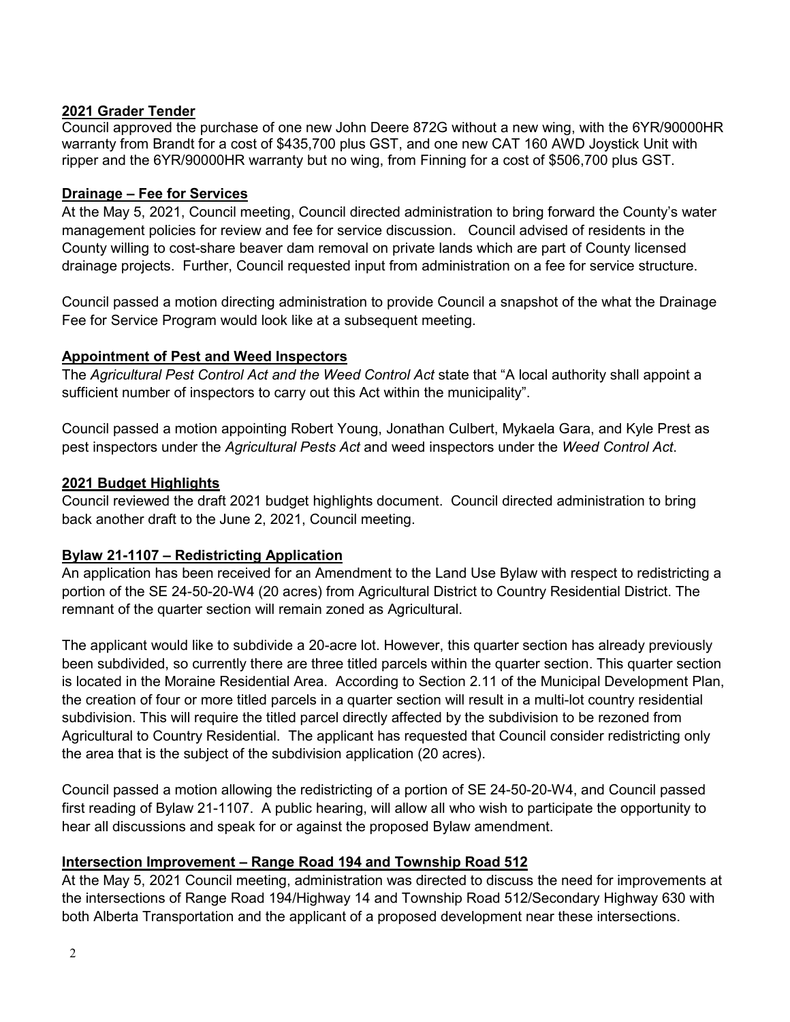### **2021 Grader Tender**

Council approved the purchase of one new John Deere 872G without a new wing, with the 6YR/90000HR warranty from Brandt for a cost of \$435,700 plus GST, and one new CAT 160 AWD Joystick Unit with ripper and the 6YR/90000HR warranty but no wing, from Finning for a cost of \$506,700 plus GST.

#### **Drainage – Fee for Services**

At the May 5, 2021, Council meeting, Council directed administration to bring forward the County's water management policies for review and fee for service discussion. Council advised of residents in the County willing to cost-share beaver dam removal on private lands which are part of County licensed drainage projects. Further, Council requested input from administration on a fee for service structure.

Council passed a motion directing administration to provide Council a snapshot of the what the Drainage Fee for Service Program would look like at a subsequent meeting.

### **Appointment of Pest and Weed Inspectors**

The *Agricultural Pest Control Act and the Weed Control Act* state that "A local authority shall appoint a sufficient number of inspectors to carry out this Act within the municipality".

Council passed a motion appointing Robert Young, Jonathan Culbert, Mykaela Gara, and Kyle Prest as pest inspectors under the *Agricultural Pests Act* and weed inspectors under the *Weed Control Act*.

### **2021 Budget Highlights**

Council reviewed the draft 2021 budget highlights document. Council directed administration to bring back another draft to the June 2, 2021, Council meeting.

# **Bylaw 21-1107 – Redistricting Application**

An application has been received for an Amendment to the Land Use Bylaw with respect to redistricting a portion of the SE 24-50-20-W4 (20 acres) from Agricultural District to Country Residential District. The remnant of the quarter section will remain zoned as Agricultural.

The applicant would like to subdivide a 20-acre lot. However, this quarter section has already previously been subdivided, so currently there are three titled parcels within the quarter section. This quarter section is located in the Moraine Residential Area. According to Section 2.11 of the Municipal Development Plan, the creation of four or more titled parcels in a quarter section will result in a multi-lot country residential subdivision. This will require the titled parcel directly affected by the subdivision to be rezoned from Agricultural to Country Residential. The applicant has requested that Council consider redistricting only the area that is the subject of the subdivision application (20 acres).

Council passed a motion allowing the redistricting of a portion of SE 24-50-20-W4, and Council passed first reading of Bylaw 21-1107. A public hearing, will allow all who wish to participate the opportunity to hear all discussions and speak for or against the proposed Bylaw amendment.

#### **Intersection Improvement – Range Road 194 and Township Road 512**

At the May 5, 2021 Council meeting, administration was directed to discuss the need for improvements at the intersections of Range Road 194/Highway 14 and Township Road 512/Secondary Highway 630 with both Alberta Transportation and the applicant of a proposed development near these intersections.